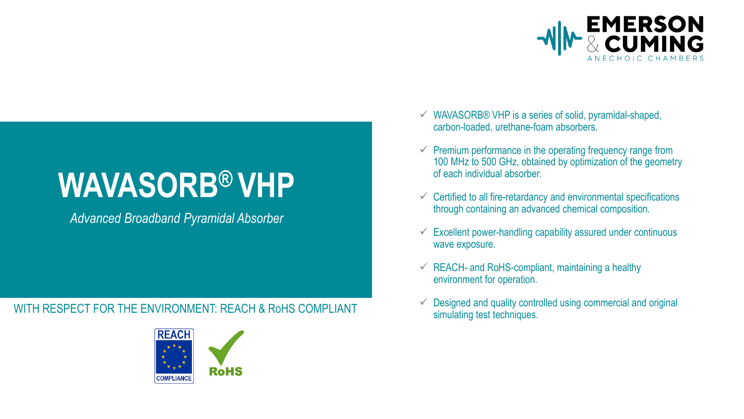

*Advanced Broadband Pyramidal Absorber*

### WITH RESPECT FOR THE ENVIRONMENT: REACH & RoHS COMPLIANT The simulating test techniques.



- $\checkmark$  WAVASORB® VHP is a series of solid, pyramidal-shaped, carbon-loaded, urethane-foam absorbers.
- $\checkmark$  Premium performance in the operating frequency range from 100 MHz to 500 GHz, obtained by optimization of the geometry of each individual absorber.
- $\checkmark$  Certified to all fire-retardancy and environmental specifications through containing an advanced chemical composition.
- $\checkmark$  Excellent power-handling capability assured under continuous wave exposure.
- $\checkmark$  REACH- and RoHS-compliant, maintaining a healthy environment for operation.
- $\checkmark$  Designed and quality controlled using commercial and original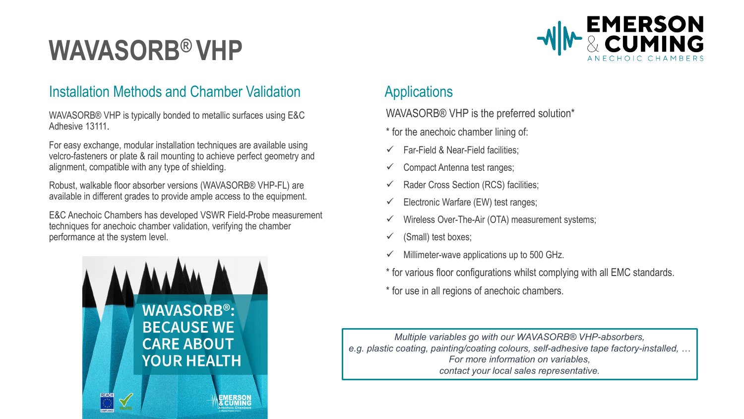### Installation Methods and Chamber Validation **Applications**

WAVASORB® VHP is typically bonded to metallic surfaces using E&C Adhesive 13111.

For easy exchange, modular installation techniques are available using velcro-fasteners or plate & rail mounting to achieve perfect geometry and alignment, compatible with any type of shielding.

Robust, walkable floor absorber versions (WAVASORB® VHP-FL) are available in different grades to provide ample access to the equipment.

E&C Anechoic Chambers has developed VSWR Field-Probe measurement techniques for anechoic chamber validation, verifying the chamber performance at the system level.



WAVASORB® VHP is the preferred solution\*

- \* for the anechoic chamber lining of:
- Far-Field & Near-Field facilities;
- $\checkmark$  Compact Antenna test ranges;
- Rader Cross Section (RCS) facilities;
- Electronic Warfare (EW) test ranges;
- Wireless Over-The-Air (OTA) measurement systems;
- $\checkmark$  (Small) test boxes;
- Millimeter-wave applications up to 500 GHz.
- \* for various floor configurations whilst complying with all EMC standards.

**EMERSON** 

\* for use in all regions of anechoic chambers.

*Multiple variables go with our WAVASORB® VHP-absorbers, e.g. plastic coating, painting/coating colours, self-adhesive tape factory-installed, … For more information on variables, contact your local sales representative.*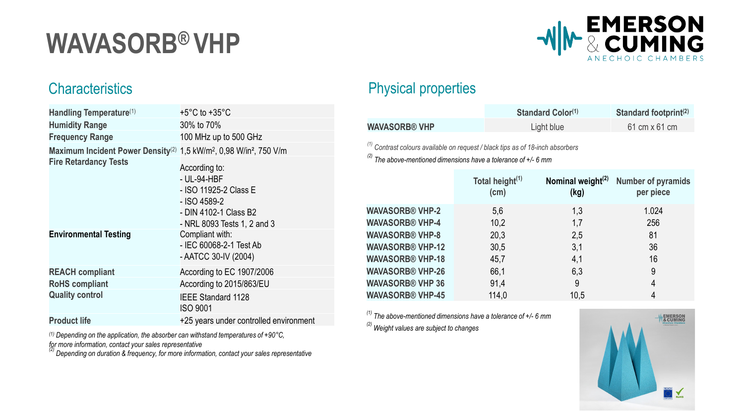

| Handling Temperature(1)                                                                                | $+5^{\circ}$ C to $+35^{\circ}$ C                                                                                             |
|--------------------------------------------------------------------------------------------------------|-------------------------------------------------------------------------------------------------------------------------------|
| <b>Humidity Range</b>                                                                                  | 30% to 70%                                                                                                                    |
| <b>Frequency Range</b>                                                                                 | 100 MHz up to 500 GHz                                                                                                         |
| Maximum Incident Power Density <sup>(2)</sup> 1,5 kW/m <sup>2</sup> , 0,98 W/in <sup>2</sup> , 750 V/m |                                                                                                                               |
| <b>Fire Retardancy Tests</b>                                                                           | According to:<br>- UL-94-HBF<br>- ISO 11925-2 Class E<br>- ISO 4589-2<br>- DIN 4102-1 Class B2<br>- NRL 8093 Tests 1, 2 and 3 |
| <b>Environmental Testing</b>                                                                           | Compliant with:<br>- IEC 60068-2-1 Test Ab<br>- AATCC 30-IV (2004)                                                            |
| <b>REACH compliant</b>                                                                                 | According to EC 1907/2006                                                                                                     |
| <b>RoHS</b> compliant                                                                                  | According to 2015/863/EU                                                                                                      |
| <b>Quality control</b>                                                                                 | <b>IEEE Standard 1128</b><br><b>ISO 9001</b>                                                                                  |
| <b>Product life</b>                                                                                    | +25 years under controlled environment                                                                                        |

*(1) Depending on the application, the absorber can withstand temperatures of +90°C,* 

*for more information, contact your sales representative (2) Depending on duration & frequency, for more information, contact your sales representative*

## Characteristics **Physical properties**

|                      | <b>Standard Color(1)</b> | Standard footprint <sup>(2)</sup> |
|----------------------|--------------------------|-----------------------------------|
| <b>WAVASORB® VHP</b> | Light blue               | 61 cm x 61 cm                     |

*(1) Contrast colours available on request / black tips as of 18-inch absorbers*

*(2) The above-mentioned dimensions have a tolerance of +/- 6 mm*

|                         | Total height <sup>(1)</sup><br>(cm) | Nominal weight $(2)$<br>(kg) | <b>Number of pyramids</b><br>per piece |
|-------------------------|-------------------------------------|------------------------------|----------------------------------------|
| <b>WAVASORB® VHP-2</b>  | 5,6                                 | 1,3                          | 1.024                                  |
| <b>WAVASORB® VHP-4</b>  | 10,2                                | 1,7                          | 256                                    |
| <b>WAVASORB® VHP-8</b>  | 20,3                                | 2,5                          | 81                                     |
| <b>WAVASORB® VHP-12</b> | 30,5                                | 3,1                          | 36                                     |
| <b>WAVASORB® VHP-18</b> | 45,7                                | 4,1                          | 16                                     |
| <b>WAVASORB® VHP-26</b> | 66,1                                | 6,3                          | 9                                      |
| <b>WAVASORB® VHP 36</b> | 91,4                                | 9                            | $\overline{4}$                         |
| <b>WAVASORB® VHP-45</b> | 114,0                               | 10.5                         | $\overline{4}$                         |

*(1) The above-mentioned dimensions have a tolerance of +/- 6 mm*

*(2) Weight values are subject to changes*

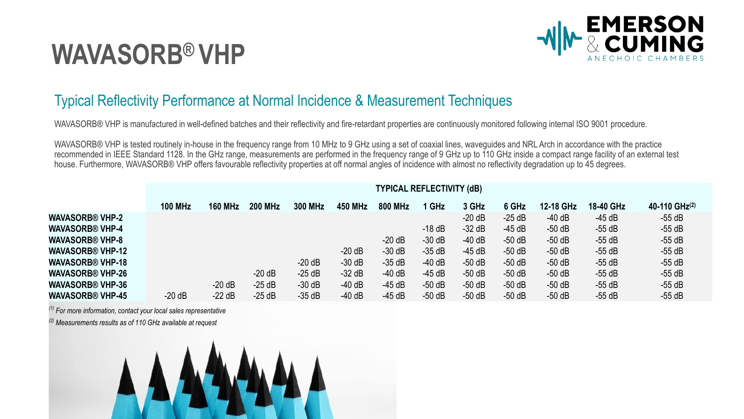

### Typical Reflectivity Performance at Normal Incidence & Measurement Techniques

WAVASORB® VHP is manufactured in well-defined batches and their reflectivity and fire-retardant properties are continuously monitored following internal ISO 9001 procedure.

WAVASORB® VHP is tested routinely in-house in the frequency range from 10 MHz to 9 GHz using a set of coaxial lines, waveguides and NRL Arch in accordance with the practice recommended in IEEE Standard 1128. In the GHz range, measurements are performed in the frequency range of 9 GHz up to 110 GHz inside a compact range facility of an external test house. Furthermore, WAVASORB® VHP offers favourable reflectivity properties at off normal angles of incidence with almost no reflectivity degradation up to 45 degrees.

|                         | <b>TYPICAL REFLECTIVITY (dB)</b> |                |                |          |          |                |          |          |          |           |           |               |
|-------------------------|----------------------------------|----------------|----------------|----------|----------|----------------|----------|----------|----------|-----------|-----------|---------------|
|                         | <b>100 MHz</b>                   | <b>160 MHz</b> | <b>200 MHz</b> | 300 MHz  | 450 MHz  | <b>800 MHz</b> | 1 GHz    | 3 GHz    | 6 GHz    | 12-18 GHz | 18-40 GHz | 40-110 GHz(2) |
| <b>WAVASORB® VHP-2</b>  |                                  |                |                |          |          |                |          | $-20 dB$ | $-25$ dB | $-40$ dB  | $-45$ dB  | $-55$ dB      |
| <b>WAVASORB® VHP-4</b>  |                                  |                |                |          |          |                | $-18$ dB | $-32$ dB | $-45$ dB | $-50$ dB  | $-55$ dB  | $-55$ dB      |
| <b>WAVASORB® VHP-8</b>  |                                  |                |                |          |          | $-20 dB$       | $-30$ dB | $-40$ dB | $-50$ dB | $-50$ dB  | $-55$ dB  | $-55$ dB      |
| <b>WAVASORB® VHP-12</b> |                                  |                |                |          | $-20$ dB | $-30$ dB       | $-35$ dB | $-45$ dB | $-50$ dB | $-50$ dB  | $-55$ dB  | $-55$ dB      |
| <b>WAVASORB® VHP-18</b> |                                  |                |                | $-20 dB$ | $-30$ dB | $-35$ dB       | $-40$ dB | $-50$ dB | $-50$ dB | $-50$ dB  | $-55$ dB  | $-55$ dB      |
| <b>WAVASORB® VHP-26</b> |                                  |                | $-20$ dB       | $-25$ dB | $-32$ dB | $-40$ dB       | $-45$ dB | $-50$ dB | $-50$ dB | $-50$ dB  | $-55$ dB  | $-55$ dB      |
| <b>WAVASORB® VHP-36</b> |                                  | $-20$ dB       | $-25$ dB       | $-30$ dB | $-40$ dB | $-45$ dB       | $-50$ dB | $-50$ dB | $-50$ dB | $-50$ dB  | $-55$ dB  | $-55$ dB      |
| <b>WAVASORB® VHP-45</b> | $-20 dB$                         | $-22$ dB       | $-25dB$        | $-35$ dB | $-40$ dB | $-45$ dB       | $-50$ dB | $-50$ dB | $-50$ dB | $-50$ dB  | $-55$ dB  | $-55$ dB      |

*(1) For more information, contact your local sales representative*

*(2) Measurements results as of 110 GHz available at request*